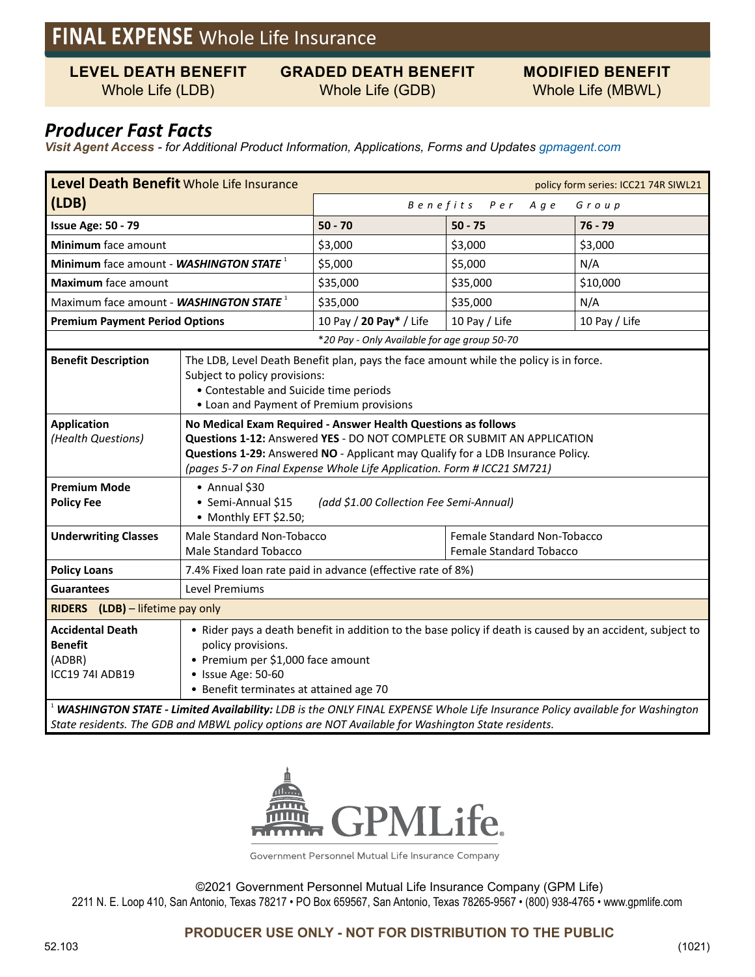# **FINAL EXPENSE** Whole Life Insurance

**LEVEL DEATH BENEFIT**

#### **GRADED DEATH BENEFIT** Whole Life (GDB)

**MODIFIED BENEFIT** Whole Life (MBWL)

## Whole Life (LDB)

### *Producer Fast Facts*

*Visit Agent Access - for Additional Product Information, Applications, Forms and Updates gpmagent.com*

| Level Death Benefit Whole Life Insurance<br>policy form series: ICC21 74R SIWL21                                                                                                                                                  |                                                                                                                                                                                                                                                                                                        |                                              |                                                                      |               |  |  |  |  |
|-----------------------------------------------------------------------------------------------------------------------------------------------------------------------------------------------------------------------------------|--------------------------------------------------------------------------------------------------------------------------------------------------------------------------------------------------------------------------------------------------------------------------------------------------------|----------------------------------------------|----------------------------------------------------------------------|---------------|--|--|--|--|
| (LDB)                                                                                                                                                                                                                             |                                                                                                                                                                                                                                                                                                        | Benefits Per<br>A g e<br>Group               |                                                                      |               |  |  |  |  |
| <b>Issue Age: 50 - 79</b>                                                                                                                                                                                                         |                                                                                                                                                                                                                                                                                                        | $50 - 70$                                    | $50 - 75$                                                            | $76 - 79$     |  |  |  |  |
| Minimum face amount                                                                                                                                                                                                               |                                                                                                                                                                                                                                                                                                        | \$3,000                                      | \$3,000                                                              | \$3,000       |  |  |  |  |
| Minimum face amount - WASHINGTON STATE <sup>1</sup>                                                                                                                                                                               |                                                                                                                                                                                                                                                                                                        | \$5,000                                      | \$5,000                                                              | N/A           |  |  |  |  |
| <b>Maximum</b> face amount                                                                                                                                                                                                        |                                                                                                                                                                                                                                                                                                        | \$35,000                                     | \$35,000                                                             | \$10,000      |  |  |  |  |
| Maximum face amount - WASHINGTON STATE <sup>1</sup>                                                                                                                                                                               |                                                                                                                                                                                                                                                                                                        | \$35,000                                     | \$35,000                                                             | N/A           |  |  |  |  |
| <b>Premium Payment Period Options</b>                                                                                                                                                                                             |                                                                                                                                                                                                                                                                                                        | 10 Pay / 20 Pay* / Life                      | 10 Pay / Life                                                        | 10 Pay / Life |  |  |  |  |
|                                                                                                                                                                                                                                   |                                                                                                                                                                                                                                                                                                        | *20 Pay - Only Available for age group 50-70 |                                                                      |               |  |  |  |  |
| <b>Benefit Description</b>                                                                                                                                                                                                        | The LDB, Level Death Benefit plan, pays the face amount while the policy is in force.<br>Subject to policy provisions:<br>• Contestable and Suicide time periods<br>• Loan and Payment of Premium provisions                                                                                           |                                              |                                                                      |               |  |  |  |  |
| <b>Application</b><br>(Health Questions)                                                                                                                                                                                          | No Medical Exam Required - Answer Health Questions as follows<br>Questions 1-12: Answered YES - DO NOT COMPLETE OR SUBMIT AN APPLICATION<br>Questions 1-29: Answered NO - Applicant may Qualify for a LDB Insurance Policy.<br>(pages 5-7 on Final Expense Whole Life Application. Form # ICC21 SM721) |                                              |                                                                      |               |  |  |  |  |
| <b>Premium Mode</b><br><b>Policy Fee</b>                                                                                                                                                                                          | • Annual \$30<br>• Semi-Annual \$15<br>(add \$1.00 Collection Fee Semi-Annual)<br>• Monthly EFT \$2.50;                                                                                                                                                                                                |                                              |                                                                      |               |  |  |  |  |
| <b>Underwriting Classes</b>                                                                                                                                                                                                       | Male Standard Non-Tobacco<br><b>Male Standard Tobacco</b>                                                                                                                                                                                                                                              |                                              | <b>Female Standard Non-Tobacco</b><br><b>Female Standard Tobacco</b> |               |  |  |  |  |
| <b>Policy Loans</b>                                                                                                                                                                                                               | 7.4% Fixed loan rate paid in advance (effective rate of 8%)                                                                                                                                                                                                                                            |                                              |                                                                      |               |  |  |  |  |
| <b>Guarantees</b>                                                                                                                                                                                                                 | Level Premiums                                                                                                                                                                                                                                                                                         |                                              |                                                                      |               |  |  |  |  |
| RIDERS (LDB) - lifetime pay only                                                                                                                                                                                                  |                                                                                                                                                                                                                                                                                                        |                                              |                                                                      |               |  |  |  |  |
| <b>Accidental Death</b><br><b>Benefit</b><br>(ADBR)<br><b>ICC19 74I ADB19</b>                                                                                                                                                     | • Rider pays a death benefit in addition to the base policy if death is caused by an accident, subject to<br>policy provisions.<br>• Premium per \$1,000 face amount<br>• Issue Age: 50-60<br>• Benefit terminates at attained age 70                                                                  |                                              |                                                                      |               |  |  |  |  |
| WASHINGTON STATE - Limited Availability: LDB is the ONLY FINAL EXPENSE Whole Life Insurance Policy available for Washington<br>State residents. The GDB and MBWL policy options are NOT Available for Washington State residents. |                                                                                                                                                                                                                                                                                                        |                                              |                                                                      |               |  |  |  |  |



Government Personnel Mutual Life Insurance Company

©2021 Government Personnel Mutual Life Insurance Company (GPM Life)

2211 N. E. Loop 410, San Antonio, Texas 78217 • PO Box 659567, San Antonio, Texas 78265-9567 • (800) 938-4765 • www.gpmlife.com

#### **PRODUCER USE ONLY - NOT FOR DISTRIBUTION TO THE PUBLIC**